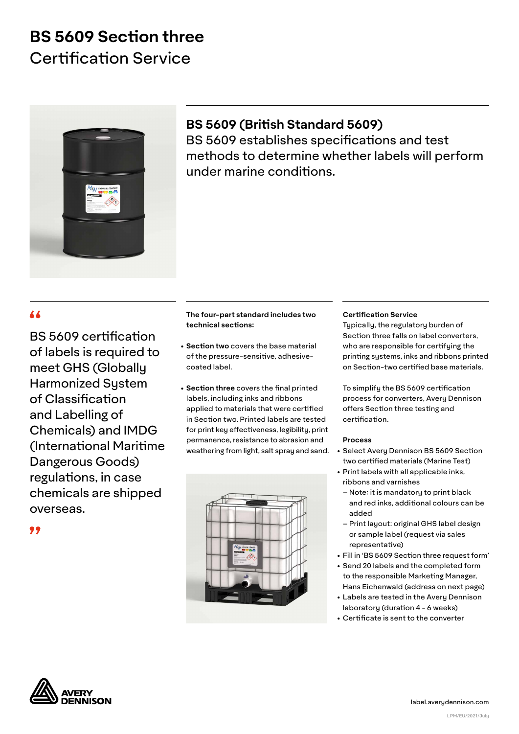# **BS 5609 Section three** Certification Service



### **BS 5609 (British Standard 5609)**

BS 5609 establishes specifications and test methods to determine whether labels will perform under marine conditions.

BS 5609 certification of labels is required to meet GHS (Globally Harmonized System of Classification and Labelling of Chemicals) and IMDG (International Maritime Dangerous Goods) regulations, in case chemicals are shipped overseas.

### **The four-part standard includes two technical sections:**

- **Section two** covers the base material of the pressure-sensitive, adhesivecoated label.
- **Section three** covers the final printed labels, including inks and ribbons applied to materials that were certified in Section two. Printed labels are tested for print key effectiveness, legibility, print permanence, resistance to abrasion and weathering from light, salt spray and sand.



#### **Certification Service**

 Typically, the regulatory burden of Section three falls on label converters, who are responsible for certifying the printing systems, inks and ribbons printed on Section-two certified base materials.

 To simplify the BS 5609 certification process for converters, Avery Dennison offers Section three testing and certification.

#### **Process**

- Select Avery Dennison BS 5609 Section two certified materials (Marine Test)
- Print labels with all applicable inks, ribbons and varnishes
	- Note: it is mandatory to print black and red inks, additional colours can be added
	- Print layout: original GHS label design or sample label (request via sales representative)
- Fill in 'BS 5609 Section three request form'
- Send 20 labels and the completed form to the responsible Marketing Manager, Hans Eichenwald (address on next page)
- Labels are tested in the Avery Dennison laboratory (duration 4 - 6 weeks)
- Certificate is sent to the converter